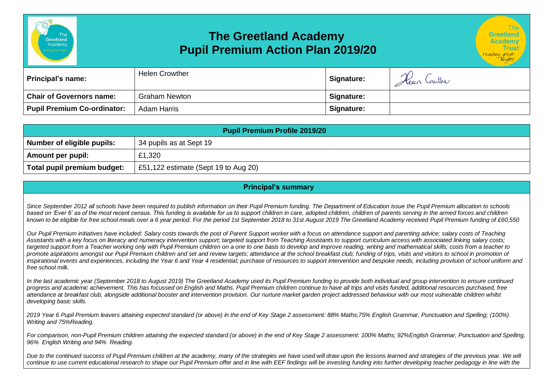

| emy        |  |
|------------|--|
|            |  |
| an 2019/20 |  |

Greetland

| <b>Principal's name:</b>           | <b>Helen Crowther</b> | <b>Signature:</b> | $\curvearrowright$<br>Keen Crarther |
|------------------------------------|-----------------------|-------------------|-------------------------------------|
| <b>Chair of Governors name:</b>    | <b>Graham Newton</b>  | Signature:        |                                     |
| <b>Pupil Premium Co-ordinator:</b> | Adam Harris           | Signature:        |                                     |

| <b>Pupil Premium Profile 2019/20</b> |                                      |  |  |  |
|--------------------------------------|--------------------------------------|--|--|--|
| Number of eligible pupils:           | 34 pupils as at Sept 19              |  |  |  |
| <b>Amount per pupil:</b>             | £1,320                               |  |  |  |
| Total pupil premium budget:          | £51,122 estimate (Sept 19 to Aug 20) |  |  |  |

## **Principal's summary**

*Since September 2012 all schools have been required to publish information on their Pupil Premium funding. The Department of Education issue the Pupil Premium allocation to schools*  based on 'Ever 6' as of the most recent census. This funding is available for us to support children in care, adopted children, children of parents serving in the armed forces and children *known to be eligible for free school meals over a 6 year period. For the period 1st September 2018 to 31st August 2019 The Greetland Academy received Pupil Premium funding of £60,550*

*Our Pupil Premium initiatives have included: Salary costs towards the post of Parent Support worker with a focus on attendance support and parenting advice; salary costs of Teaching*  Assistants with a key focus on literacy and numeracy intervention support; targeted support from Teaching Assistants to support curriculum access with associated linking salary costs; *targeted support from a Teacher working only with Pupil Premium children on a one to one basis to develop and improve reading, writing and mathematical skills; costs from a teacher to*  promote aspirations amongst our Pupil Premium children and set and review targets; attendance at the school breakfast club; funding of trips, visits and visitors to school in promotion of *inspirational events and experiences, including the Year 6 and Year 4 residential; purchase of resources to support intervention and bespoke needs, including provision of school uniform and free school milk.*

*In the last academic year (September 2018 to August 2019) The Greetland Academy used its Pupil Premium funding to provide both individual and group intervention to ensure continued progress and academic achievement. This has focussed on English and Maths. Pupil Premium children continue to have all trips and visits funded, additional resources purchased, free attendance at breakfast club, alongside additional booster and intervention provision. Our nurture market garden project addressed behaviour with our most vulnerable children whilst developing basic skills.*

*2019 Year 6 Pupil Premium leavers attaining expected standard (or above) in the end of Key Stage 2 assessment: 88% Maths;75% English Grammar, Punctuation and Spelling; (100%) Writing and 75%Reading.*

*For comparison, non-Pupil Premium children attaining the expected standard (or above) in the end of Key Stage 2 assessment: 100% Maths; 92%English Grammar, Punctuation and Spelling, 96% English Writing and 94% Reading.*

Due to the continued success of Pupil Premium children at the academy, many of the strategies we have used will draw upon the lessons learned and strategies of the previous year. We will continue to use current educational research to shape our Pupil Premium offer and in line with EEF findings will be investing funding into further developing teacher pedagogy in line with the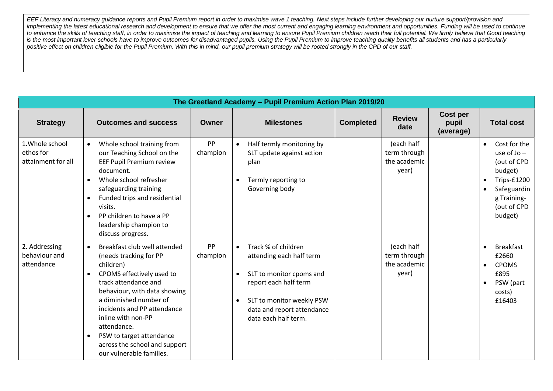*EEF Literacy and numeracy guidance reports and Pupil Premium report in order to maximise wave 1 teaching. Next steps include further developing our nurture support/provision and*  implementing the latest educational research and development to ensure that we offer the most current and engaging learning environment and opportunities. Funding will be used to continue *to enhance the skills of teaching staff, in order to maximise the impact of teaching and learning to ensure Pupil Premium children reach their full potential. We firmly believe that Good teaching*  is the most important lever schools have to improve outcomes for disadvantaged pupils. Using the Pupil Premium to improve teaching quality benefits all students and has a particularly *positive effect on children eligible for the Pupil Premium. With this in mind, our pupil premium strategy will be rooted strongly in the CPD of our staff.* 

| The Greetland Academy - Pupil Premium Action Plan 2019/20 |                                                                                                                                                                                                                                                                                                                                                                                        |                       |                                                                                                                                                                                                      |                  |                                                     |                                |                                                                                                                                |
|-----------------------------------------------------------|----------------------------------------------------------------------------------------------------------------------------------------------------------------------------------------------------------------------------------------------------------------------------------------------------------------------------------------------------------------------------------------|-----------------------|------------------------------------------------------------------------------------------------------------------------------------------------------------------------------------------------------|------------------|-----------------------------------------------------|--------------------------------|--------------------------------------------------------------------------------------------------------------------------------|
| <b>Strategy</b>                                           | <b>Outcomes and success</b>                                                                                                                                                                                                                                                                                                                                                            | Owner                 | <b>Milestones</b>                                                                                                                                                                                    | <b>Completed</b> | <b>Review</b><br>date                               | Cost per<br>pupil<br>(average) | <b>Total cost</b>                                                                                                              |
| 1. Whole school<br>ethos for<br>attainment for all        | Whole school training from<br>$\bullet$<br>our Teaching School on the<br>EEF Pupil Premium review<br>document.<br>Whole school refresher<br>safeguarding training<br>Funded trips and residential<br>$\bullet$<br>visits.<br>PP children to have a PP<br>$\bullet$<br>leadership champion to<br>discuss progress.                                                                      | <b>PP</b><br>champion | Half termly monitoring by<br>SLT update against action<br>plan<br>Termly reporting to<br>Governing body                                                                                              |                  | (each half<br>term through<br>the academic<br>year) |                                | Cost for the<br>use of $Jo -$<br>(out of CPD<br>budget)<br>Trips-£1200<br>Safeguardin<br>g Training-<br>(out of CPD<br>budget) |
| 2. Addressing<br>behaviour and<br>attendance              | Breakfast club well attended<br>$\bullet$<br>(needs tracking for PP<br>children)<br>CPOMS effectively used to<br>$\bullet$<br>track attendance and<br>behaviour, with data showing<br>a diminished number of<br>incidents and PP attendance<br>inline with non-PP<br>attendance.<br>PSW to target attendance<br>$\bullet$<br>across the school and support<br>our vulnerable families. | <b>PP</b><br>champion | Track % of children<br>attending each half term<br>SLT to monitor cpoms and<br>report each half term<br>SLT to monitor weekly PSW<br>$\bullet$<br>data and report attendance<br>data each half term. |                  | (each half<br>term through<br>the academic<br>year) |                                | <b>Breakfast</b><br>£2660<br><b>CPOMS</b><br>$\bullet$<br>£895<br>PSW (part<br>$\bullet$<br>costs)<br>£16403                   |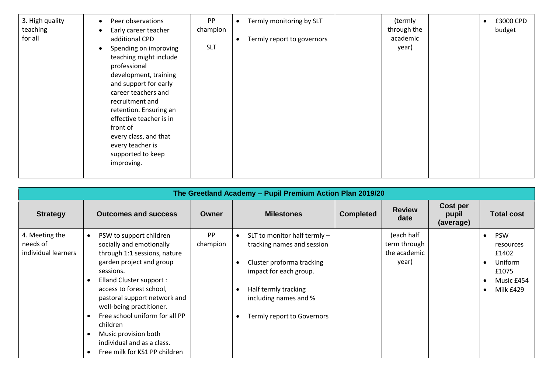| 3. High quality<br>teaching<br>for all | Peer observations<br>Early career teacher<br>additional CPD<br>Spending on improving<br>teaching might include<br>professional<br>development, training<br>and support for early<br>career teachers and<br>recruitment and<br>retention. Ensuring an<br>effective teacher is in<br>front of<br>every class, and that<br>every teacher is<br>supported to keep<br>improving. | <b>PP</b><br>champion<br><b>SLT</b> | Termly monitoring by SLT<br>(termly<br>through the<br>academic<br>Termly report to governors<br>year) | £3000 CPD<br>budget |
|----------------------------------------|-----------------------------------------------------------------------------------------------------------------------------------------------------------------------------------------------------------------------------------------------------------------------------------------------------------------------------------------------------------------------------|-------------------------------------|-------------------------------------------------------------------------------------------------------|---------------------|
|----------------------------------------|-----------------------------------------------------------------------------------------------------------------------------------------------------------------------------------------------------------------------------------------------------------------------------------------------------------------------------------------------------------------------------|-------------------------------------|-------------------------------------------------------------------------------------------------------|---------------------|

| The Greetland Academy - Pupil Premium Action Plan 2019/20 |                                                                                                                                                                                                                                                                                                                                                                                       |                       |                                                                                                                                                                                                         |                  |                                                     |                                |                                                                                                                                     |
|-----------------------------------------------------------|---------------------------------------------------------------------------------------------------------------------------------------------------------------------------------------------------------------------------------------------------------------------------------------------------------------------------------------------------------------------------------------|-----------------------|---------------------------------------------------------------------------------------------------------------------------------------------------------------------------------------------------------|------------------|-----------------------------------------------------|--------------------------------|-------------------------------------------------------------------------------------------------------------------------------------|
| <b>Strategy</b>                                           | <b>Outcomes and success</b>                                                                                                                                                                                                                                                                                                                                                           | Owner                 | <b>Milestones</b>                                                                                                                                                                                       | <b>Completed</b> | <b>Review</b><br>date                               | Cost per<br>pupil<br>(average) | Total cost                                                                                                                          |
| 4. Meeting the<br>needs of<br>individual learners         | PSW to support children<br>socially and emotionally<br>through 1:1 sessions, nature<br>garden project and group<br>sessions.<br>Elland Cluster support :<br>access to forest school,<br>pastoral support network and<br>well-being practitioner.<br>Free school uniform for all PP<br>children<br>Music provision both<br>individual and as a class.<br>Free milk for KS1 PP children | <b>PP</b><br>champion | SLT to monitor half termly -<br>tracking names and session<br>Cluster proforma tracking<br>impact for each group.<br>Half termly tracking<br>- 0<br>including names and %<br>Termly report to Governors |                  | (each half<br>term through<br>the academic<br>year) |                                | <b>PSW</b><br>$\bullet$<br>resources<br>£1402<br>Uniform<br>$\bullet$<br>£1075<br>Music £454<br>$\bullet$<br>Milk £429<br>$\bullet$ |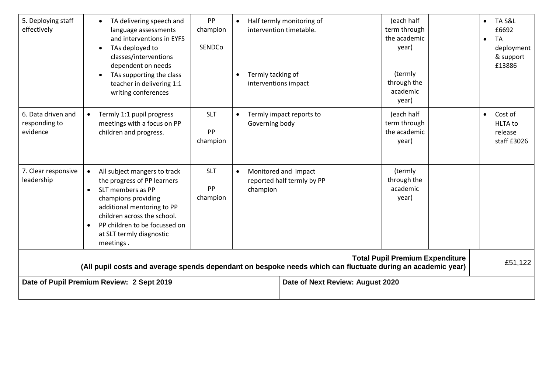| 5. Deploying staff<br>effectively               | TA delivering speech and<br>language assessments<br>and interventions in EYFS<br>TAs deployed to<br>classes/interventions<br>dependent on needs<br>TAs supporting the class<br>teacher in delivering 1:1<br>writing conferences                                                       | PP<br>champion<br>SENDCo     | Termly tacking of<br>interventions impact | Half termly monitoring of<br>intervention timetable. | (each half<br>term through<br>the academic<br>year)<br>(termly<br>through the<br>academic<br>year) | TA S&L<br>$\bullet$<br>£6692<br><b>TA</b><br>$\bullet$<br>deployment<br>& support<br>£13886 |
|-------------------------------------------------|---------------------------------------------------------------------------------------------------------------------------------------------------------------------------------------------------------------------------------------------------------------------------------------|------------------------------|-------------------------------------------|------------------------------------------------------|----------------------------------------------------------------------------------------------------|---------------------------------------------------------------------------------------------|
| 6. Data driven and<br>responding to<br>evidence | Termly 1:1 pupil progress<br>$\bullet$<br>meetings with a focus on PP<br>children and progress.                                                                                                                                                                                       | <b>SLT</b><br>PP<br>champion | Governing body                            | Termly impact reports to                             | (each half<br>term through<br>the academic<br>year)                                                | Cost of<br>$\bullet$<br><b>HLTA</b> to<br>release<br>staff £3026                            |
| 7. Clear responsive<br>leadership               | All subject mangers to track<br>$\bullet$<br>the progress of PP learners<br>SLT members as PP<br>$\bullet$<br>champions providing<br>additional mentoring to PP<br>children across the school.<br>PP children to be focussed on<br>$\bullet$<br>at SLT termly diagnostic<br>meetings. | <b>SLT</b><br>PP<br>champion | champion                                  | Monitored and impact<br>reported half termly by PP   | (termly<br>through the<br>academic<br>year)                                                        |                                                                                             |
|                                                 | (All pupil costs and average spends dependant on bespoke needs which can fluctuate during an academic year)                                                                                                                                                                           |                              |                                           |                                                      | <b>Total Pupil Premium Expenditure</b>                                                             | £51,122                                                                                     |
|                                                 | Date of Pupil Premium Review: 2 Sept 2019                                                                                                                                                                                                                                             |                              |                                           | Date of Next Review: August 2020                     |                                                                                                    |                                                                                             |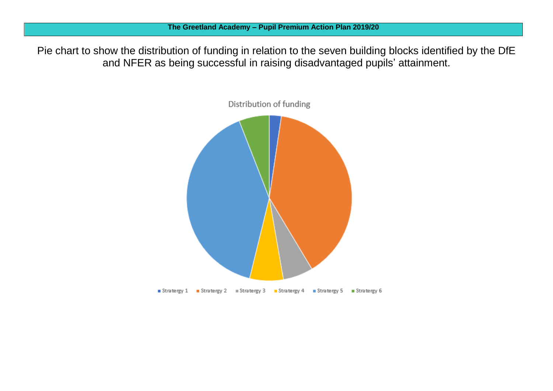Pie chart to show the distribution of funding in relation to the seven building blocks identified by the DfE and NFER as being successful in raising disadvantaged pupils' attainment.